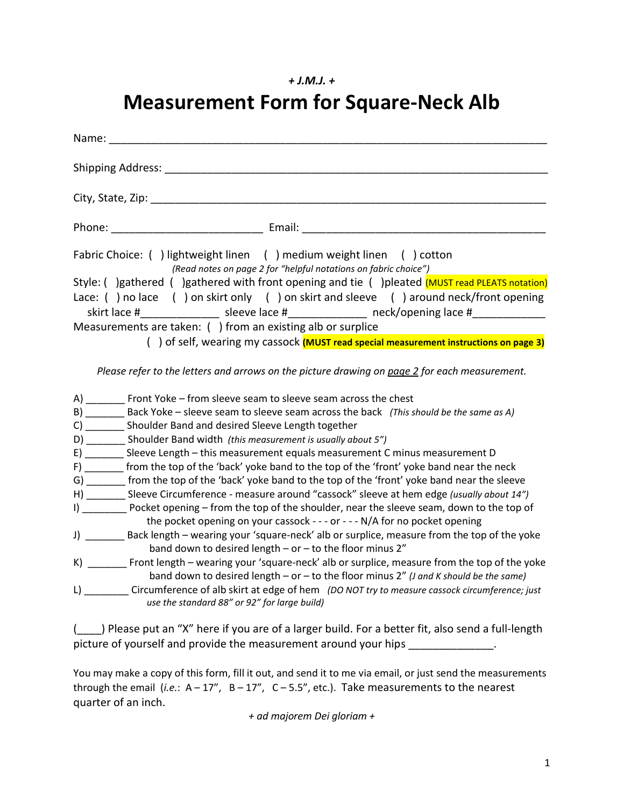## *+ J.M.J. +*

# **Measurement Form for Square-Neck Alb**

| City, State, Zip: The Contract of the City, State, Zip:                                                                                         |
|-------------------------------------------------------------------------------------------------------------------------------------------------|
|                                                                                                                                                 |
| Fabric Choice: ( ) lightweight linen ( ) medium weight linen ( ) cotton<br>(Read notes on page 2 for "helpful notations on fabric choice")      |
| Style: () gathered () gathered with front opening and tie () pleated (MUST read PLEATS notation)                                                |
| Lace: () no lace () on skirt only () on skirt and sleeve () around neck/front opening                                                           |
| skirt lace #__________________ sleeve lace #________________ neck/opening lace #______________                                                  |
| Measurements are taken: () from an existing alb or surplice                                                                                     |
| () of self, wearing my cassock (MUST read special measurement instructions on page 3)                                                           |
|                                                                                                                                                 |
| Please refer to the letters and arrows on the picture drawing on page 2 for each measurement.                                                   |
| A) ________ Front Yoke – from sleeve seam to sleeve seam across the chest                                                                       |
| B) ________ Back Yoke - sleeve seam to sleeve seam across the back (This should be the same as A)                                               |
| C) ________ Shoulder Band and desired Sleeve Length together                                                                                    |
| D) Shoulder Band width (this measurement is usually about 5")                                                                                   |
| E) _______ Sleeve Length - this measurement equals measurement C minus measurement D                                                            |
| F) _______ from the top of the 'back' yoke band to the top of the 'front' yoke band near the neck                                               |
| G) _______ from the top of the 'back' yoke band to the top of the 'front' yoke band near the sleeve                                             |
| H) ________ Sleeve Circumference - measure around "cassock" sleeve at hem edge (usually about 14")                                              |
| I) ___________ Pocket opening - from the top of the shoulder, near the sleeve seam, down to the top of                                          |
| the pocket opening on your cassock - - - or - - - N/A for no pocket opening                                                                     |
| J) _________ Back length - wearing your 'square-neck' alb or surplice, measure from the top of the yoke                                         |
| band down to desired length $-$ or $-$ to the floor minus 2"                                                                                    |
| K) Front length – wearing your 'square-neck' alb or surplice, measure from the top of the yoke                                                  |
| band down to desired length - or - to the floor minus 2" ( <i>J</i> and <i>K</i> should be the same)                                            |
| L) Circumference of alb skirt at edge of hem (DO NOT try to measure cassock circumference; just<br>use the standard 88" or 92" for large build) |

(\_\_\_\_) Please put an "X" here if you are of a larger build. For a better fit, also send a full-length picture of yourself and provide the measurement around your hips \_\_\_\_\_\_\_\_\_\_\_\_\_\_.

You may make a copy of this form, fill it out, and send it to me via email, or just send the measurements through the email  $(i.e.: A-17", B-17", C-5.5", etc.$ ). Take measurements to the nearest quarter of an inch.

*+ ad majorem Dei gloriam +*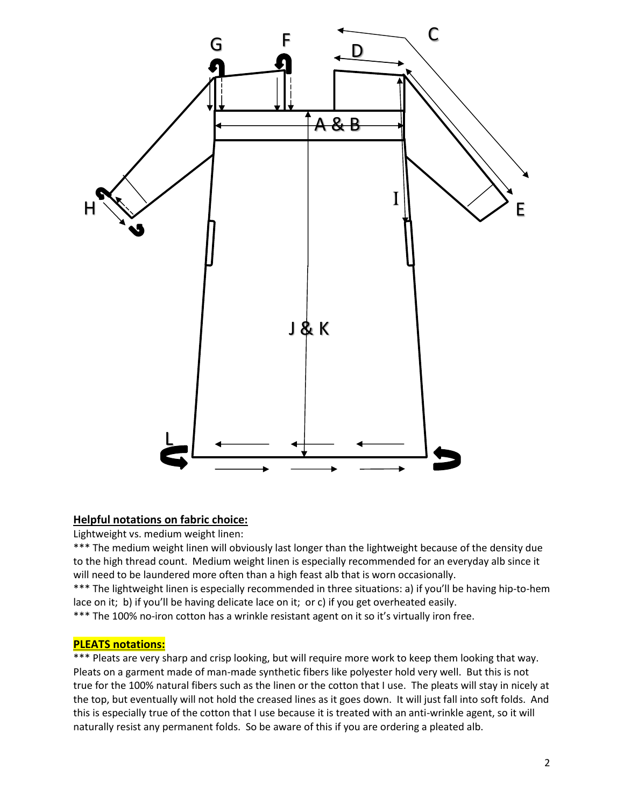

## **Helpful notations on fabric choice:**

Lightweight vs. medium weight linen:

\*\*\* The medium weight linen will obviously last longer than the lightweight because of the density due to the high thread count. Medium weight linen is especially recommended for an everyday alb since it will need to be laundered more often than a high feast alb that is worn occasionally.

\*\*\* The lightweight linen is especially recommended in three situations: a) if you'll be having hip-to-hem lace on it; b) if you'll be having delicate lace on it; or c) if you get overheated easily.

\*\*\* The 100% no-iron cotton has a wrinkle resistant agent on it so it's virtually iron free.

#### **PLEATS notations:**

\*\*\* Pleats are very sharp and crisp looking, but will require more work to keep them looking that way. Pleats on a garment made of man-made synthetic fibers like polyester hold very well. But this is not true for the 100% natural fibers such as the linen or the cotton that I use. The pleats will stay in nicely at the top, but eventually will not hold the creased lines as it goes down. It will just fall into soft folds. And this is especially true of the cotton that I use because it is treated with an anti-wrinkle agent, so it will naturally resist any permanent folds. So be aware of this if you are ordering a pleated alb.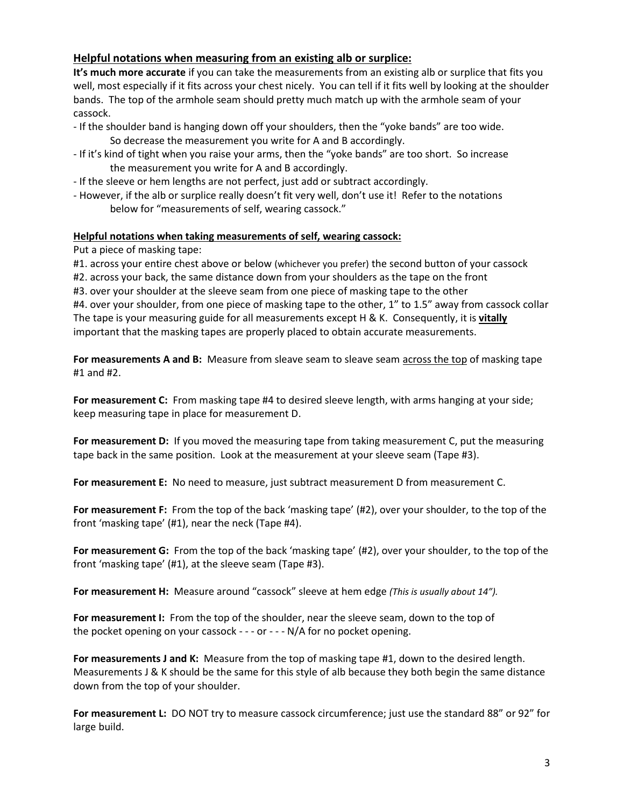## **Helpful notations when measuring from an existing alb or surplice:**

**It's much more accurate** if you can take the measurements from an existing alb or surplice that fits you well, most especially if it fits across your chest nicely. You can tell if it fits well by looking at the shoulder bands. The top of the armhole seam should pretty much match up with the armhole seam of your cassock.

- If the shoulder band is hanging down off your shoulders, then the "yoke bands" are too wide.
	- So decrease the measurement you write for A and B accordingly.
- If it's kind of tight when you raise your arms, then the "yoke bands" are too short. So increase the measurement you write for A and B accordingly.
- If the sleeve or hem lengths are not perfect, just add or subtract accordingly.
- However, if the alb or surplice really doesn't fit very well, don't use it! Refer to the notations below for "measurements of self, wearing cassock."

## **Helpful notations when taking measurements of self, wearing cassock:**

Put a piece of masking tape:

#1. across your entire chest above or below (whichever you prefer) the second button of your cassock

#2. across your back, the same distance down from your shoulders as the tape on the front

#3. over your shoulder at the sleeve seam from one piece of masking tape to the other

#4. over your shoulder, from one piece of masking tape to the other, 1" to 1.5" away from cassock collar The tape is your measuring guide for all measurements except H & K. Consequently, it is **vitally** important that the masking tapes are properly placed to obtain accurate measurements.

**For measurements A and B:** Measure from sleave seam to sleave seam across the top of masking tape #1 and #2.

**For measurement C:** From masking tape #4 to desired sleeve length, with arms hanging at your side; keep measuring tape in place for measurement D.

**For measurement D:** If you moved the measuring tape from taking measurement C, put the measuring tape back in the same position. Look at the measurement at your sleeve seam (Tape #3).

**For measurement E:** No need to measure, just subtract measurement D from measurement C.

**For measurement F:** From the top of the back 'masking tape' (#2), over your shoulder, to the top of the front 'masking tape' (#1), near the neck (Tape #4).

**For measurement G:** From the top of the back 'masking tape' (#2), over your shoulder, to the top of the front 'masking tape' (#1), at the sleeve seam (Tape #3).

**For measurement H:** Measure around "cassock" sleeve at hem edge *(This is usually about 14").*

**For measurement I:** From the top of the shoulder, near the sleeve seam, down to the top of the pocket opening on your cassock - - - or - - - N/A for no pocket opening.

**For measurements J and K:** Measure from the top of masking tape #1, down to the desired length. Measurements J & K should be the same for this style of alb because they both begin the same distance down from the top of your shoulder.

**For measurement L:** DO NOT try to measure cassock circumference; just use the standard 88" or 92" for large build.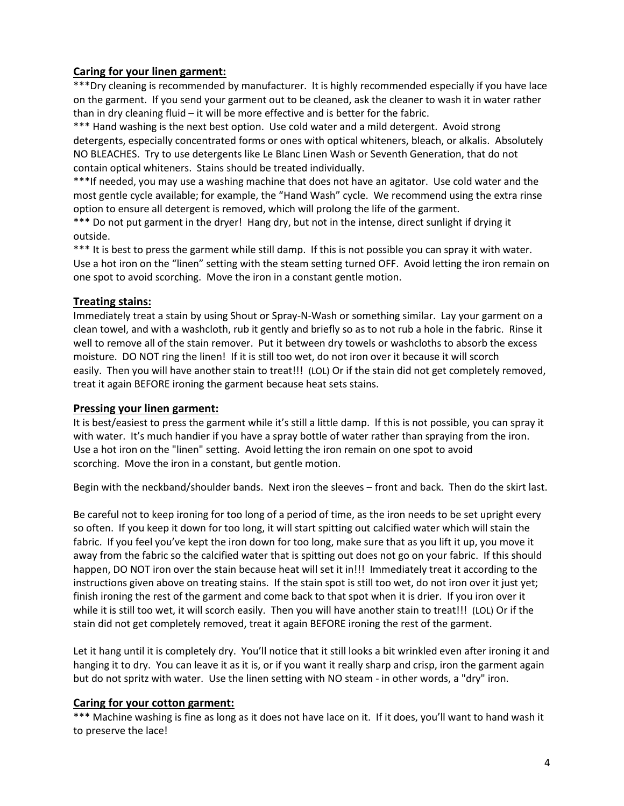# **Caring for your linen garment:**

\*\*\*Dry cleaning is recommended by manufacturer. It is highly recommended especially if you have lace on the garment. If you send your garment out to be cleaned, ask the cleaner to wash it in water rather than in dry cleaning fluid – it will be more effective and is better for the fabric.

\*\*\* Hand washing is the next best option. Use cold water and a mild detergent. Avoid strong detergents, especially concentrated forms or ones with optical whiteners, bleach, or alkalis. Absolutely NO BLEACHES. Try to use detergents like Le Blanc Linen Wash or Seventh Generation, that do not contain optical whiteners. Stains should be treated individually.

\*\*\*If needed, you may use a washing machine that does not have an agitator. Use cold water and the most gentle cycle available; for example, the "Hand Wash" cycle. We recommend using the extra rinse option to ensure all detergent is removed, which will prolong the life of the garment.

\*\*\* Do not put garment in the dryer! Hang dry, but not in the intense, direct sunlight if drying it outside.

\*\*\* It is best to press the garment while still damp. If this is not possible you can spray it with water. Use a hot iron on the "linen" setting with the steam setting turned OFF. Avoid letting the iron remain on one spot to avoid scorching. Move the iron in a constant gentle motion.

## **Treating stains:**

Immediately treat a stain by using Shout or Spray-N-Wash or something similar. Lay your garment on a clean towel, and with a washcloth, rub it gently and briefly so as to not rub a hole in the fabric. Rinse it well to remove all of the stain remover. Put it between dry towels or washcloths to absorb the excess moisture. DO NOT ring the linen! If it is still too wet, do not iron over it because it will scorch easily. Then you will have another stain to treat!!! (LOL) Or if the stain did not get completely removed, treat it again BEFORE ironing the garment because heat sets stains.

## **Pressing your linen garment:**

It is best/easiest to press the garment while it's still a little damp. lf this is not possible, you can spray it with water. It's much handier if you have a spray bottle of water rather than spraying from the iron. Use a hot iron on the "linen" setting. Avoid letting the iron remain on one spot to avoid scorching. Move the iron in a constant, but gentle motion.

Begin with the neckband/shoulder bands. Next iron the sleeves – front and back. Then do the skirt last.

Be careful not to keep ironing for too long of a period of time, as the iron needs to be set upright every so often. If you keep it down for too long, it will start spitting out calcified water which will stain the fabric. If you feel you've kept the iron down for too long, make sure that as you lift it up, you move it away from the fabric so the calcified water that is spitting out does not go on your fabric. If this should happen, DO NOT iron over the stain because heat will set it in!!! Immediately treat it according to the instructions given above on treating stains. If the stain spot is still too wet, do not iron over it just yet; finish ironing the rest of the garment and come back to that spot when it is drier. If you iron over it while it is still too wet, it will scorch easily. Then you will have another stain to treat!!! (LOL) Or if the stain did not get completely removed, treat it again BEFORE ironing the rest of the garment.

Let it hang until it is completely dry. You'll notice that it still looks a bit wrinkled even after ironing it and hanging it to dry. You can leave it as it is, or if you want it really sharp and crisp, iron the garment again but do not spritz with water. Use the linen setting with NO steam - in other words, a "dry" iron.

## **Caring for your cotton garment:**

\*\*\* Machine washing is fine as long as it does not have lace on it. If it does, you'll want to hand wash it to preserve the lace!